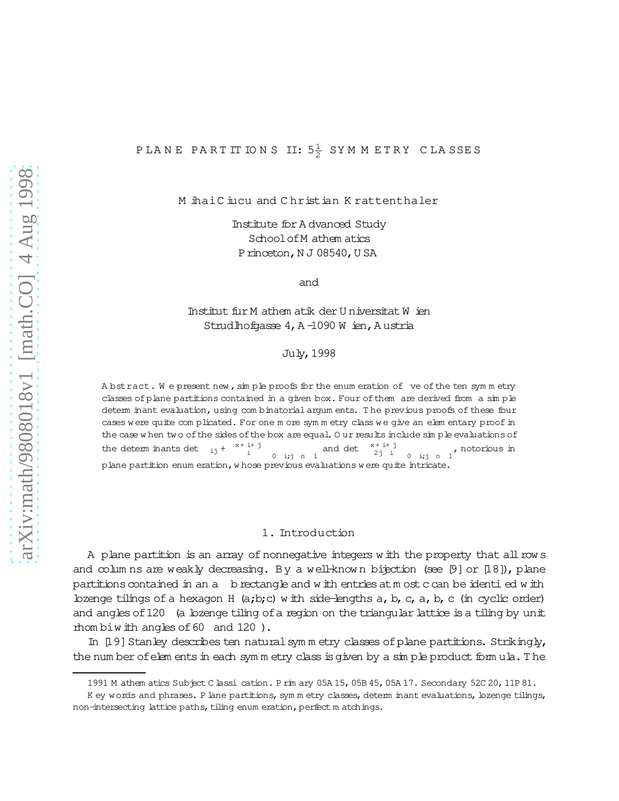# P LA N E PA R T IT IO N S  $\,$  II:  $5\frac{1}{2}$  SYMM ET R Y  $\,$  C LA SSE S

M ihaiC iucu and C hristian K rattenthaler

Institute for A dvanced Study SchoolofM athem atics Princeton, N J 08540, U SA

and

# Institut fur M athem atik der U niversitat W ien Strudlhofgasse  $4, A -1090 W$  ien, Austria

#### July,1998

A bstract. We present new, simple proofs for the enum eration of ve of the ten symmetry classes ofplane partitions contained in a given box. Four ofthem are derived from a sim ple determ inant evaluation, using com binatorialargum ents. T he previous proofs of these four cases w ere quite com plicated. For one m ore sym m etry class w e give an elem entary proofin the case w hen two of the sides of the box are equal. Our results include sim ple evaluations of the determ inants det  $_{ii}$  + x+ i+ j  $i+j$  and det  $x+i+j$ <br>  $i$  0 i;j n 1  $2j$  i  $0$  i;j n 1<sup>,</sup> notorious in plane partition enum eration,w hose previous evaluations were quite intricate.

## 1. Introduction

A plane partition is an array of nonnegative integers w ith the property that all row s and colum ns are weakly decreasing. By a well-known bijection (see  $[9]$  or  $[18]$ ), plane partitions contained in an a brectangle and w ith entries at m ost c can be identi ed w ith bzenge tilings of a hexagon H  $(a,b;c)$  w ith side-lengths a, b, c, a, b, c (in cyclic order) and angles of 120 (a lozenge tiling of a region on the triangular lattice is a tiling by unit rhom biw ith angles of 60 and 120).

In [19] Stanley describes ten natural symmetry classes of plane partitions. Strikingly, the num ber of elem ents in each sym m etry class is given by a sim ple product form ula. The

<sup>1991</sup> M athem atics Subject C lassication. P rim ary 05A 15,05B 45,05A 17. Secondary 52C 20,11P 81.

K ey words and phrases. P lane partitions, sym m etry classes, determ inant evaluations, lozenge tilings, non-intersecting lattice paths, tiling enum eration, perfect m atchings.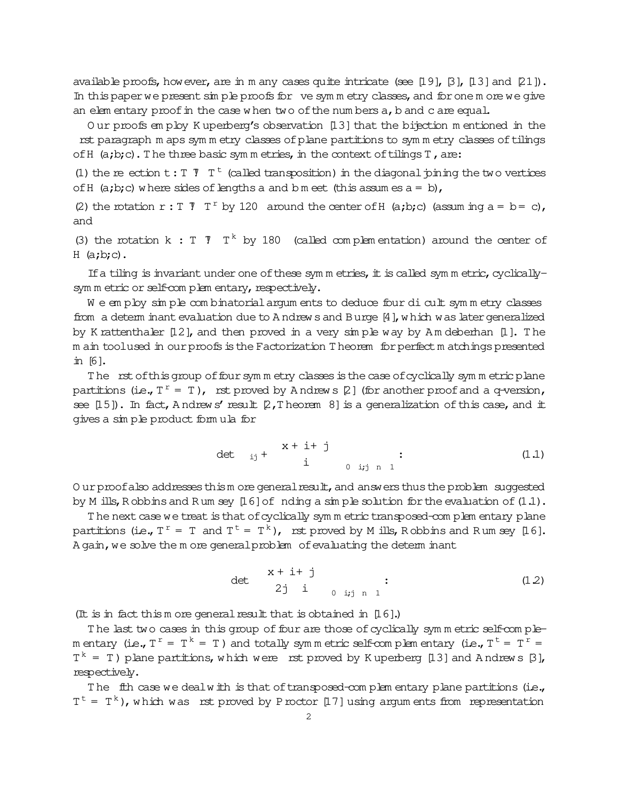available proofs, however, are in m any cases quite intricate (see [19], [3], [13] and [21]). In this paper we present simple proofs for ve symmetry classes, and for one more we give an elementary proof in the case when two of the numbers a, b and c are equal.

Our proofs employ Kuperberg's observation [13] that the bijection mentioned in the rst paragraph m aps symm etry classes of plane partitions to symm etry classes of tilings of  $H$  (a;b;c). The three basic symmetries, in the context of tilings  $T$ , are:

(1) the re-ection t: T  $\bar{J}$  T<sup>t</sup> (called transposition) in the diagonal pining the two vertices of H  $(a,b,c)$  where sides of lengths a and b m eet (this assum es  $a = b$ ),

(2) the rotation r: T  $T$  T<sup>r</sup> by 120 around the center of H (a;b;c) (assum ing a = b = c), and

(3) the rotation k : T  $\bar{V}$  T<sup>k</sup> by 180 (called complementation) around the center of  $H$  (a;b;c).

If a tiling is invariant under one of these symm etries, it is called symm etric, cyclicallysym m etric or self-com plem entary, respectively.

We employ simple combinatorial argum ents to deduce four di cult symmetry classes from a determ inant evaluation due to A ndrews and Burge [4], which was later generalized by K rattenthaler [12], and then proved in a very simple way by Am deberhan [1]. The m ain toolused in our proofs is the Factorization Theorem for perfect m atchings presented in [6].

The rst of this group of four symm etry classes is the case of cyclically symm etric plane partitions (i.e.,  $T^r = T$ ), rst proved by Andrews [2] (for another proof and a q-version, see [15]). In fact, Andrews' result [2, Theorem 8] is a generalization of this case, and it gives a simple product formula for

$$
\det_{ij} + \begin{array}{c} x + i + j \\ i \end{array} \qquad (1.1)
$$

Our proof also addresses this more general result, and answers thus the problem suggested by M ills, R obbins and Rum sey  $[16]$  of nding a simple solution for the evaluation of  $(1.1)$ .

The next case we treat is that of cyclically symm etric transposed-complem entary plane partitions (i.e.,  $T^r = T$  and  $T^t = T^k$ ), rst proved by M ills, Robbins and Rum sey [16]. A gain, we solve the m ore general problem of evaluating the determ inant

$$
\det \n\begin{array}{ccc}\n x + i + j \\
2j & i \\
& 0 & i, j, n, 1\n\end{array} \n\tag{1.2}
$$

(It is in fact this m ore general result that is obtained in  $[16]$ .)

The last two cases in this group of four are those of cyclically symmetric self-complem entary (i.e.,  $T^r = T^k = T$ ) and totally symmetric self-complementary (i.e.,  $T^t = T^r = T$  $T^k = T$ ) plane partitions, which were rst proved by Kuperberg [13] and Andrews [3], respectively.

The fih case we dealw ith is that of transposed-complementary plane partitions (i.e.,  $T^t = T^k$ ), which was ust proved by P roctor [17] using argum ents from representation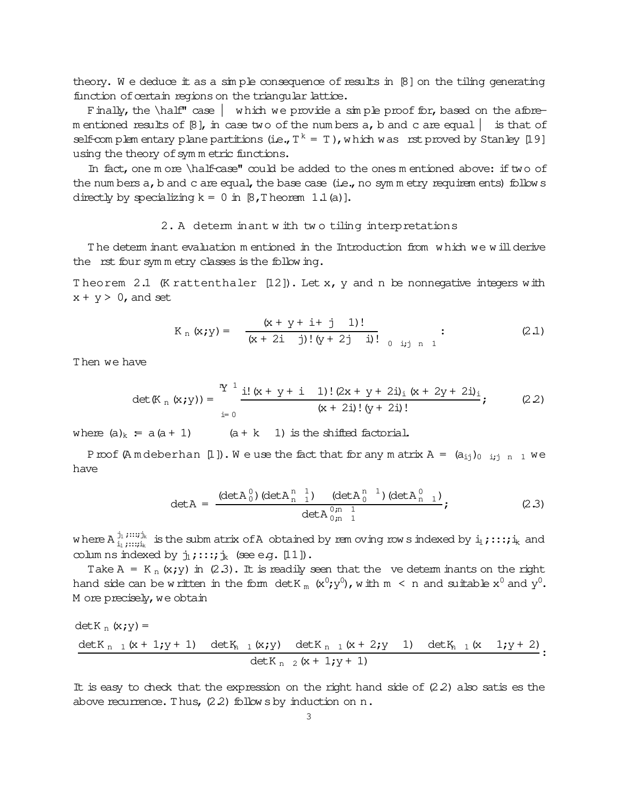theory. We deduce it as a simple consequence of results in  $[8]$  on the tiling generating function of certain regions on the triangular lattice.

Finally, the  $\hat{\phi}$  case  $|$  which we provide a simple proof for, based on the aforem entioned results of  $\beta$ , in case two of the numbers a, b and c are equal is that of self-complem entary plane partitions (i.e.,  $T^k = T$ ), which was rstproved by Stanley [19] using the theory of sym m etric functions.

In fact, one m ore \half-case" could be added to the ones m entioned above: if two of the num bers  $a$ ,  $b$  and  $c$  are equal, the base case (i.e., no sym m etry requirem ents) follow  $s$ directly by specializing  $k = 0$  in  $\beta$ , Theorem 1.1(a)].

#### 2. A determ inant w ith tw o tiling interpretations

T he determ inant evaluation m entioned in the Introduction from w hich we w illderive the rst four sym m etry classes is the following.

Theorem 2.1 (K rattenthaler  $[12]$ ). Let x, y and n be nonnegative integers with  $x + y > 0$ , and set

$$
K_{n} (x; y) = \frac{(x + y + i + j) 1)!}{(x + 2i)!(y + 2j)!(y + 2j)!(y + 2j)!} ;
$$
 (2.1)

Then we have

$$
\det(\mathbb{K}_{n}(\mathbf{x}; \mathbf{y})) = \frac{\mathbf{Y}^{1}}{\mathbf{i} \cdot (\mathbf{x} + \mathbf{y} + \mathbf{i} - 1)! (2\mathbf{x} + \mathbf{y} + 2\mathbf{i})_{i} (\mathbf{x} + 2\mathbf{y} + 2\mathbf{i})_{i}}{(\mathbf{x} + 2\mathbf{i})! (\mathbf{y} + 2\mathbf{i})!} ;
$$
 (2.2)

where  $(a)_k = a(a + 1)$   $(a + k + 1)$  is the shifted factorial.

Proof (A m deberhan [1]). We use the fact that for any m atrix  $A = (a_{ij})_{0 \; i,j \; n \; 1}$  we have

$$
\det A = \frac{(\det A_0^0) (\det A_{n-1}^{n-1}) (\det A_0^{n-1}) (\det A_{n-1}^0)}{\det A_{0,n-1}^{0,n-1}};
$$
 (2.3)

w here A  $_{\rm i_1}^{\rm j_1}$  ;  $:::$   $_{\rm i_2}$  $\frac{1}{11}$  ;:::; $\frac{1}{11}$  is the subm atrix of A obtained by rem oving row sindexed by  $\frac{1}{11}$  ;:::; $\frac{1}{1k}$  and colum ns indexed by  $j_1$ ;:::; $j_k$  (see e.g. [11]).

Take A = K  $_n$  (x;y) in (2.3). It is readily seen that the ve determ inants on the right hand side can be written in the form det.K  $_{\rm m}$  (x $^0$ ;y $^0$ ), with  $\rm m~<~$ n and suitable x $^0$  and y $^0$ . M ore precisely, we obtain

$$
\det K_n (x; y) =
$$
\n
$$
\det K_{n-1} (x + 1; y + 1) \quad \det K_{n-1} (x; y) \quad \det K_{n-1} (x + 2; y + 1) \quad \det K_{n-1} (x - 1; y + 2) \cdot \det K_{n-2} (x + 1; y + 1)
$$

It is easy to check that the expression on the right hand side of  $(2.2)$  also satis es the above recurrence. Thus,  $(2.2)$  follow s by induction on n.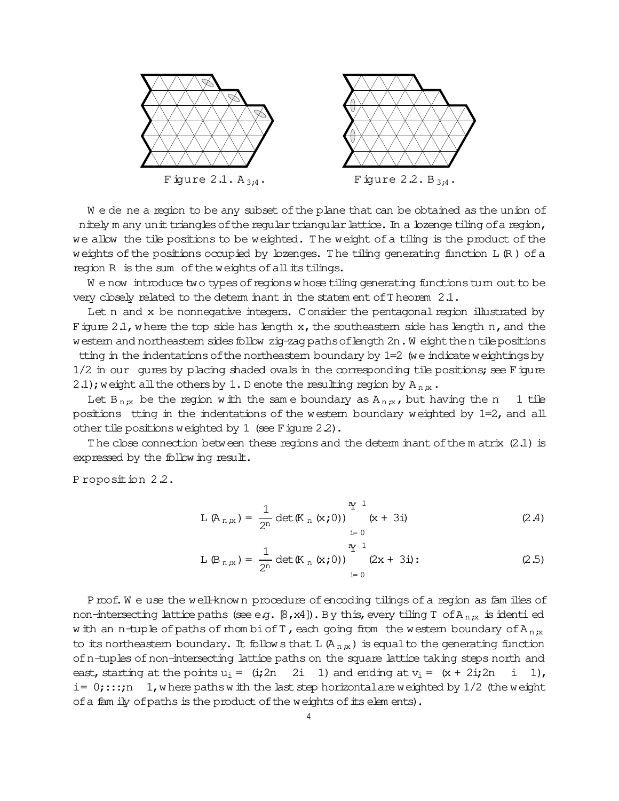

We de ne a region to be any subset of the plane that can be obtained as the union of nitely m any unit triangles of the regular triangular lattice. In a lozenge tiling of a region, we allow the tile positions to be weighted. The weight of a tiling is the product of the weights of the positions occupied by lozenges. The tiling generating function  $L(R)$  of a region R is the sum of the weights of all its tilings.

We now introduce two types of regions whose tiling generating functions turn out to be very closely related to the determ inant in the statem ent of  $T$  heorem  $2.1$ .

Let n and x be nonnegative integers. Consider the pentagonal region illustrated by Figure 2.1, where the top side has length  $x$ , the southeastem side has length n, and the western and northeastern sides follow zig-zag paths of length 2n. Weight then tile positions tting in the indentations of the northeastern boundary by 1=2 (we indicate weightings by 1/2 in our gures by placing shaded ovals in the corresponding tile positions; see Figure 2.1); weight all the others by 1. D enote the resulting region by  $A_{n,x}$ .

Let  $B_{n,x}$  be the region with the same boundary as  $A_{n,x}$ , but having the n 1 tile positions tting in the indentations of the western boundary weighted by  $1=2$ , and all other tile positions weighted by 1 (see Figure 22).

The close connection between these regions and the determ inant of the m atrix  $(2.1)$  is expressed by the following result.

Proposition 2.2.

$$
L (A_{n,x}) = \frac{1}{2^n} det(K_n (x; 0)) \qquad (x + 3i)
$$
 (2.4)

$$
L(B_{n,x}) = \frac{1}{2^n} \det(K_n(x;0)) \bigg|_0^x = \frac{1}{2^n} (2x + 3i) : \tag{2.5}
$$

Proof. We use the well-known procedure of encoding tilings of a region as families of non-intersecting lattice paths (see e.g.  $\lbrack 8, x4 \rbrack$ ). By this, every tiling T of A<sub>n;x</sub> is identi ed w ith an n-tuple of paths of mombi of T, each going from the western boundary of A<sub>n</sub><sub>x</sub> to its northeastern boundary. It follows that L  $(A_{n,x})$  is equal to the generating function of n-tuples of non-intersecting lattice paths on the square lattice taking steps north and east, starting at the points  $u_i = (i\mathbf{i} 2n + 2i + 1)$  and ending at  $v_i = (x + 2i\mathbf{i} 2n + 1)$ i,  $1)$ ,  $i = 0; \ldots; n \quad 1$ , where paths with the last step horizontal are weighted by 1/2 (the weight of a fam ily of paths is the product of the weights of its elements).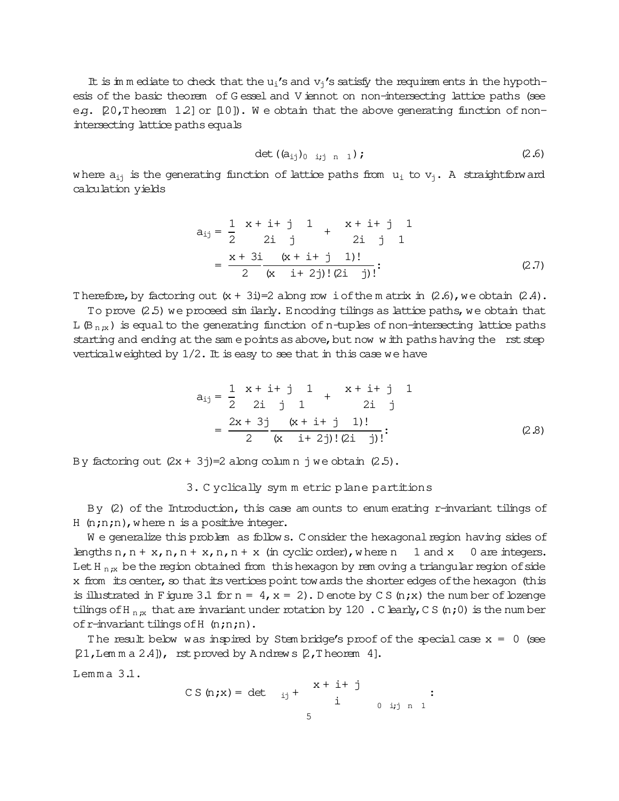It is im m ediate to check that the u<sub>i</sub>'s and  $v_i$ 's satisfy the requirem ents in the hypothesis of the basic theorem of G essel and V iennot on non-intersecting lattice paths (see e.g.  $[20,1]$  heorem  $[12]$  or  $[10]$ ). We obtain that the above generating function of nonintersecting lattice paths equals

$$
\det (a_{ij})_{0 \ i,j \ n \ 1}); \qquad (2.6)
$$

where  $a_{ij}$  is the generating function of lattice paths from  $u_i$  to  $v_j$ . A straightforward calculation yields

$$
a_{ij} = \frac{1}{2} \begin{array}{ccc} x + i + j & 1 & x + i + j & 1 \\ 2i & j & 2i & j & 1 \end{array}
$$
  
= 
$$
\frac{x + 3i}{2} \frac{(x + i + j & 1)!}{(x - i + 2j)!(2i - j)!}
$$
 (2.7)

Therefore, by factoring out  $(x + 3i)=2$  along row i of the m atrix in  $(2.6)$ , we obtain  $(2.4)$ .

To prove (2.5) we proceed similarly. Encoding tilings as lattice paths, we obtain that L(B<sub>n;x</sub>) is equal to the generating function of n-tuples of non-intersecting lattice paths starting and ending at the sam e points as above, but now w ith paths having the rst step vertical weighted by  $1/2$ . It is easy to see that in this case we have

$$
a_{ij} = \frac{1}{2} \begin{array}{ccc} x + i + j & 1 \\ 2i & j & 1 \end{array} + \begin{array}{ccc} x + i + j & 1 \\ 2i & j \end{array}
$$

$$
= \frac{2x + 3j}{2} \frac{(x + i + j) + j!}{(x - i + 2j)!(2i - j)!}.
$$
(2.8)

By factoring out  $(2x + 3i)=2$  along column  $i$  we obtain  $(2.5)$ .

#### 3. C yclically sym m etric plane partitions

By  $(2)$  of the Introduction, this case am ounts to enum erating r-invariant tilings of  $H$  (n;n;n), w here n is a positive integer.

W e generalize this problem as follows. Consider the hexagonal region having sides of lengthsn,  $n + x$ ,  $n, n + x$ ,  $n, n + x$  (in cyclic order), where  $n \neq 1$  and  $x \neq 0$  are integers. Let H<sub>n;x</sub> be the region obtained from this hexagon by rem oving a triangular region of side x from its center, so that its vertices point towards the shorter edges of the hexagon (this is illustrated in Figure 3.1 for  $n = 4$ ,  $x = 2$ ). D enote by C S (n;x) the num ber of bzenge tilings of H<sub>n;x</sub> that are invariant under rotation by 120 . C learly, C S (n;0) is the num ber ofr-invariant tilingsofH (n;n;n).

The result below was inspired by Stem bridge's proof of the special case  $x = 0$  (see  $[21, Lcm \, m \, a \, 2.4]$ , rst proved by Andrews  $[2, T \, h$ eorem 4].

 $Lemma 3.1.$ 

CS (n;x) = det 
$$
ix + i + j
$$
  
\n $i$  0  $i,j$  n 1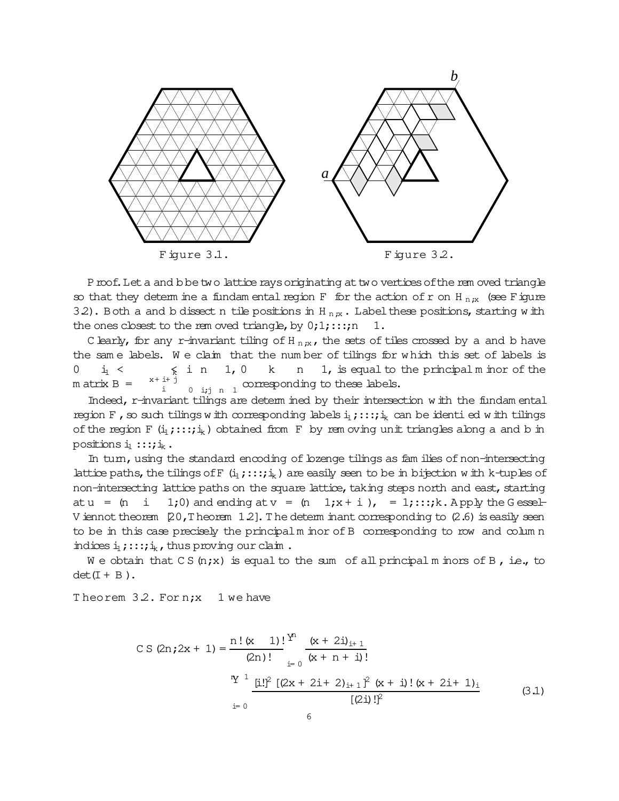

Proof. Let a and bbe two lattice rays originating at two vertices of the rem oved triangle so that they determ ine a fundam ental region F for the action of r on H<sub>n;x</sub> (see Figure 3.2). Both a and b dissect n tile positions in H<sub>n;x</sub>. Label these positions, starting w ith the ones closest to the rem oved triangle, by  $0;1;...;n \quad 1$ .

C learly, for any r-invariant tiling of H<sub>n;x</sub>, the sets of tiles crossed by a and b have the sam e labels. W e claim that the num ber of tilings for w hich this set of labels is  $0 \quad i_1 < \quad \epsilon \quad i \quad n \quad 1, 0 \quad k \quad n \quad 1$ , is equal to the principal m inor of the  $m \text{ atrix } B =$  $x + i + j$ i  $\xi$  in  $0$  ij  $n$  1 corresponding to these labels.

Indeed, r-invariant tilings are determ ined by their intersection w ith the fundam ental region F, so such tilings with corresponding labels  $i_1$ ;::; $i_k$  can be identi ed with tilings of the region F  $(i_1; \ldots; i_k)$  obtained from F by rem oving unit triangles along a and b in positions  $i_1$  :::; $i_k$ .

In turn, using the standard encoding of lozenge tilings as families of non-intersecting lattice paths, the tilings of F  $(i_1,:::;i_k)$  are easily seen to be in bijection w ith k-tuples of non-intersecting lattice paths on the square lattice, taking steps north and east, starting atu =  $(n \ i \ 1;0)$  and ending at v =  $(n \ 1;x+i)$ , = 1;:::;k. A pply the G essel-V iennot theorem  $[20, T]$  heorem  $[1.2]$ . The determ inant corresponding to  $(2.6)$  is easily seen to be in this case precisely the principalm inor ofB corresponding to row and colum n indices  $i_1$ ;::; $i_k$ , thus proving our claim.

We obtain that CS(n;x) is equal to the sum of all principal m inors of B, i.e., to  $det(I + B)$ .

Theorem 3.2. For n;x 1 we have

CS (2n;2x + 1) = 
$$
\frac{n! (x + 1)!}{(2n)!} \frac{(x + 2i)_{i+1}}{(x + n + i)!}
$$
  
\n
$$
\frac{^{n}Y^{1}}{x^{1}} \frac{[i!]^{2} [(2x + 2i + 2)_{i+1}]^{2} (x + i)! (x + 2i + 1)_{i}}{[(2i)!]^{2}}
$$
\n6 (3.1)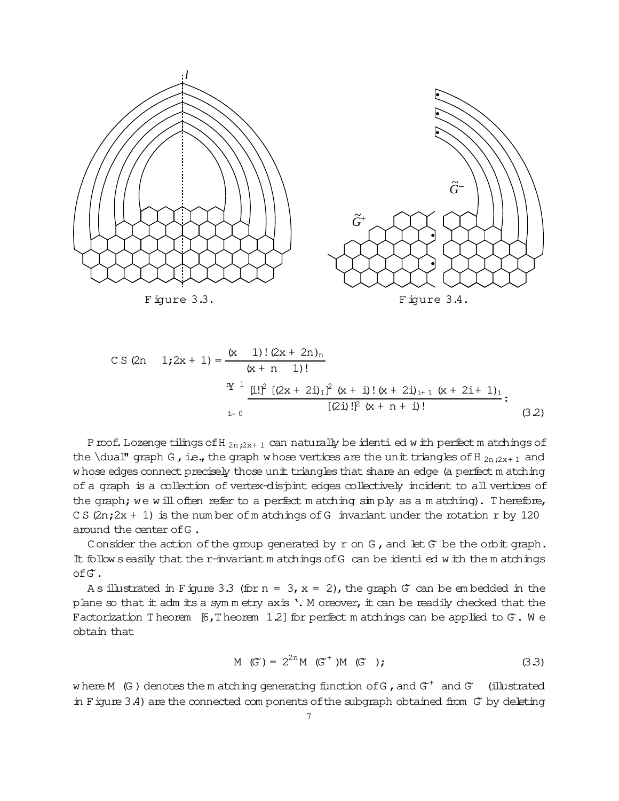

CS (2n 1;2x + 1) = 
$$
\frac{(x - 1)!(2x + 2n)_n}{(x + n - 1)!}
$$
  
\n
$$
\frac{^{n}Y^{-1}}{x} \frac{[i!]^2 [(2x + 2i)_i]^2 (x + i)! (x + 2i)_{i+1} (x + 2i + 1)_i]}{[(2i)!]^2 (x + n + i)!}
$$
\n(3.2)

P roof. Lozenge tilings of H  $_{2n,2x+1}$  can naturally be identi ed w ith perfect m atchings of the \dual" graph G, i.e., the graph w hose vertices are the unit triangles of H  $_{2n:2x+1}$  and w hose edges connect precisely those unit triangles that share an edge (a perfect m atching of a graph is a collection of vertex-dispint edges collectively incident to all vertices of the graph; we will often refer to a perfect matching  $\sin py$  as a matching). Therefore, C S  $(2n;2x + 1)$  is the num ber of m atchings of G invariant under the rotation r by 120 around the center ofG .

C onsider the action of the group generated by  $r$  on G, and let  $G^*$  be the orbit graph. It follow s easily that the r-invariant m atchings of G can be identied with the m atchings ofG~.

A s illustrated in Figure 3.3 (for  $n = 3$ ,  $x = 2$ ), the graph G<sup>o</sup> can be embedded in the plane so that  $\pm$  adm  $\pm$  s a symmetry axis '. M oreover,  $\pm$  can be readily checked that the Factorization Theorem  $[6, T \text{ hecrem } 1.2]$  for perfect m atchings can be applied to  $G$ . W e obtain that

$$
M(G') = 2^{2n} M(G^{+})M(G), \qquad (3.3)
$$

w here M (G) denotes the m atching generating function of G, and  $G^+$  and  $G^-$  (illustrated in Figure 3.4) are the connected com ponents of the subgraph obtained from G by deleting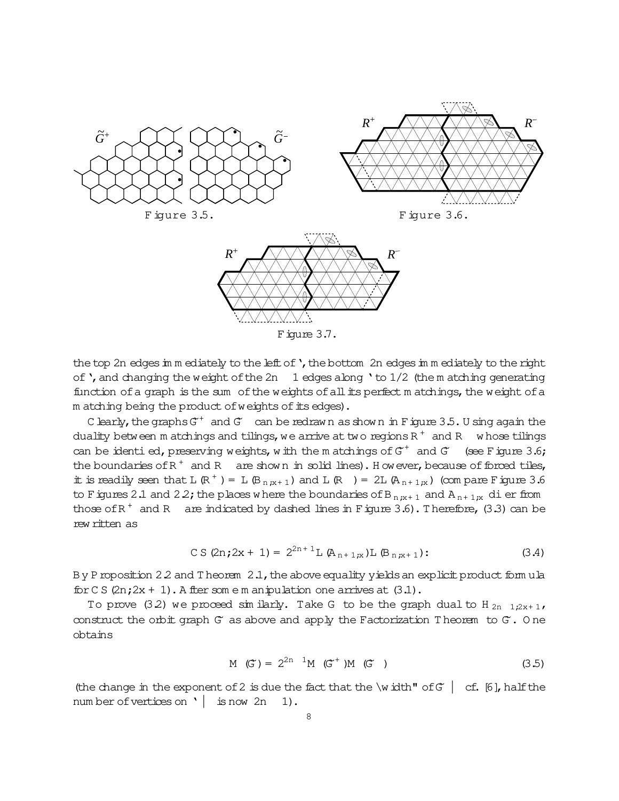

Figure 3.7.

the top 2n edges in m ediately to the left of ', the bottom 2n edges in m ediately to the right of ', and changing the weight of the 2n  $\,$  1 edges along ' to 1/2 (the m atching generating function of a graph is the sum of the weights of all its perfect matchings, the weight of a m atching being the product of weights of its edges).

C learly, the graphs  $G^+$  and  $G^-$  can be redrawn as shown in F igure 3.5. U sing again the duality between m atchings and tilings, we arrive at two regions  $R^+$  and R whose tilings can be identied, preserving weights, with the matchings of  $G^+$  and  $G^-$  (see Figure 3.6; the boundaries of  $R^+$  and  $R^-$  are shown in solid lines). However, because of forced tiles, it is readily seen that L  $(\mathbb{R}^+)$  = L  $(\mathbb{B}_{n,x+1})$  and L  $(\mathbb{R})$  = 2L  $(\mathbb{A}_{n+1,x})$  (compare F igure 3.6 to F igures 2.1 and 2.2; the places where the boundaries of B<sub>n;x+1</sub> and A<sub>n+1;x</sub> di er from those of  $R^+$  and  $R^-$  are indicated by dashed lines in Figure 3.6). Therefore, (3.3) can be rew ritten as

$$
CS (2n; 2x + 1) = 2^{2n+1} L (A_{n+1;x}) L (B_{n;x+1})
$$
 (3.4)

By P roposition 2.2 and T heorem 2.1, the above equality yields an explicit product formula  $\text{for } C \leq (2n; 2x + 1)$ . A fter some m an ipulation one arrives at  $(3.1)$ .

To prove (3.2) we proceed similarly. Take G to be the graph dual to H<sub>2n 1</sub>;2x+1, construct the orbit graph  $G$  as above and apply the Factorization Theorem to  $G$ . One obtains

$$
M(G') = 2^{2n} M(G^{+})M(G)
$$
 (3.5)

(the change in the exponent of 2 is due the fact that the \width" of  $G$  | cf. [6], half the number of vertices on  $\vert$  is now 2n  $1$ ).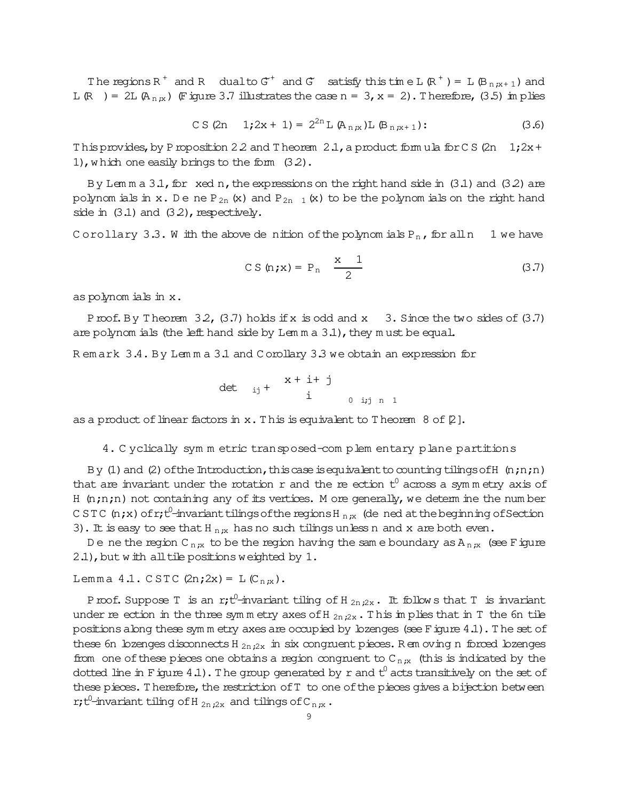The regions R<sup>+</sup> and R dual to  $G^+$  and  $G^-$  satisfy this time L (R<sup>+</sup>) = L (B<sub>n :x+1</sub>) and L (R ) = 2L (A<sub>n x</sub>) (Figure 3.7 illustrates the case n = 3, x = 2). Therefore, (3.5) in plies

$$
CS (2n \t 1; 2x + 1) = 2^{2n} L (A_{n,x}) L (B_{n,x+1})
$$
 (3.6)

This provides, by P roposition 2.2 and T heorem 2.1, a product formula for C S (2n 1;2x+ 1), which one easily brings to the form (3.2).

By Lemma  $3.1$ , for xed n, the expressions on the right hand side in  $(3.1)$  and  $(3.2)$  are polynom ials in x. De ne P<sub>2n</sub> (x) and P<sub>2n 1</sub>(x) to be the polynom ials on the right hand side in  $(3.1)$  and  $(3.2)$ , respectively.

Corollary 3.3. W ith the above de nition of the polynomials  $P_n$ , for all n 1 we have

$$
CS (n \cdot x) = P_n \quad \frac{x}{2} \tag{3.7}
$$

as polynomials in x.

Proof. By Theorem 32, (3.7) holds if x is odd and x 3. Since the two sides of (3.7) are polynom ials (the left hand side by Lemm  $a$  3.1), they must be equal.

Remark 3.4. By Lemma 3.1 and Corollary 3.3 we obtain an expression for

$$
\det_{ij} + \begin{array}{c} x + i + j \\ i \\ 0 \quad i+j \quad n \quad 1 \end{array}
$$

as a product of linear factors in  $x$ . This is equivalent to Theorem 8 of  $[2]$ .

4. Cyclically symmetric transposed-complementary plane partitions

By (1) and (2) of the Introduction, this case is equivalent to counting tilings of H  $(n; n; n)$ that are invariant under the rotation r and the re ection  $t^0$  across a symmetry axis of H  $(n;n;n)$  not containing any of its vertices. M ore generally, we determ ine the number CSTC (n;x) of r;t<sup>0</sup>-invariant tilings of the regions H<sub>n;x</sub> (de ned at the beginning of Section 3). It is easy to see that H  $_{n,x}$  has no such tilings unless n and x are both even.

De ne the region C<sub>n;x</sub> to be the region having the same boundary as A<sub>n;x</sub> (see Figure 2.1), but with all tile positions weighted by 1.

Lemma 4.1. CSTC  $(2n; 2x) = L(C_{n;x})$ .

P roof. Suppose T is an r;t<sup>0</sup>-invariant tiling of H<sub>2n;2x</sub>. It follows that T is invariant under re ection in the three symmetry axes of H  $_{2n,2x}$ . This implies that in T the 6n tile positions along these sym m etry axes are occupied by lozenges (see Figure 4.1). The set of these 6n lozenges disconnects H  $_{2n,2x}$  in six congruent pieces. R em oving n forced lozenges from one of these pieces one obtains a region congruent to  $C_{n,x}$  (this is indicated by the dotted line in Figure 4.1). The group generated by r and  $t^0$  acts transitively on the set of these pieces. Therefore, the restriction of T to one of the pieces gives a bijection between r; t<sup>0</sup>-invariant tiling of H  $_{2n:2x}$  and tilings of C<sub>n  $x$ </sub>.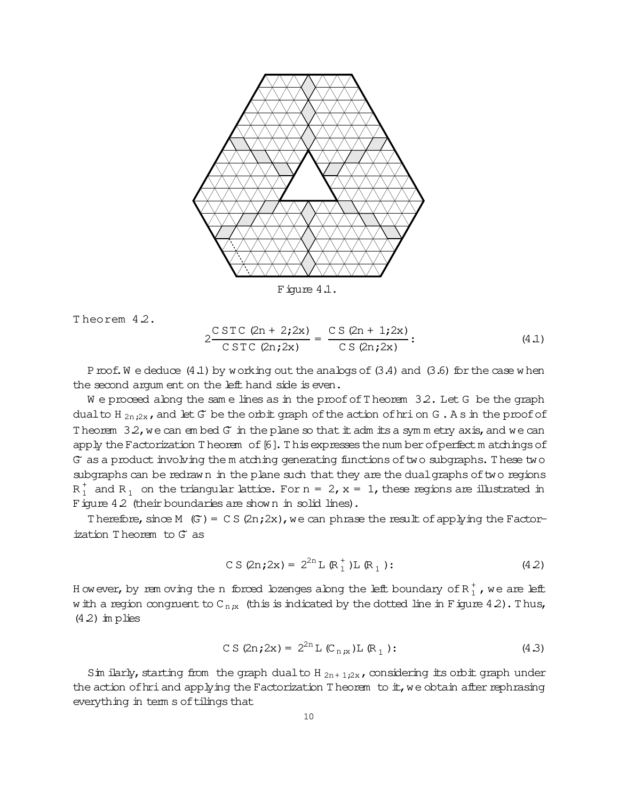

Figure 4.1.

Theorem 4.2.

$$
2\frac{\text{C} \text{STC} (2n + 2; 2x)}{\text{C} \text{STC} (2n; 2x)} = \frac{\text{CS} (2n + 1; 2x)}{\text{CS} (2n; 2x)}; \tag{4.1}
$$

P roof. W e deduce  $(4.1)$  by working out the analogs of  $(3.4)$  and  $(3.6)$  for the case when the second argum ent on the left hand side is even.

We proceed along the same lines as in the proof of Theorem 32. Let G be the graph dual to H<sub>2n</sub>,<sub>2x</sub>, and let G be the orbit graph of the action of hrion G. As in the proof of Theorem  $3.2$ , we can embed  $G$  in the plane so that it adm its a symmetry axis, and we can apply the Factorization Theorem of [6]. This expresses the number of perfect matchings of G as a product involving the m atching generating functions of two subgraphs. These two subgraphs can be redrawn in the plane such that they are the dual graphs of two regions  $R_1^+$  and  $R_1$  on the triangular lattice. For  $n = 2$ ,  $x = 1$ , these regions are illustrated in Figure 4.2 (their boundaries are shown in solid lines).

Therefore, since M  $(G) = CS(2n; 2x)$ , we can phrase the result of applying the Factorization Theorem to  $G$  as

$$
CS (2n; 2x) = 2^{2n} L (R_1^+) L (R_1) : \qquad (4.2)
$$

However, by rem oving the n forced lozenges along the left boundary of  $R_1^+$ , we are left w ith a region congruent to  $C_{n,x}$  (this is indicated by the dotted line in Figure 4.2). Thus,  $(4.2)$  im plies

$$
CS (2n; 2x) = 2^{2n} L (C_{n;x}) L (R_1): \qquad (4.3)
$$

Sim ilarly, starting from the graph dual to H<sub>2n+1:2x</sub>, considering its orbit graph under the action of hri and applying the Factorization Theorem to  $\pm$ , we obtain after rephrasing everything in term s of tilings that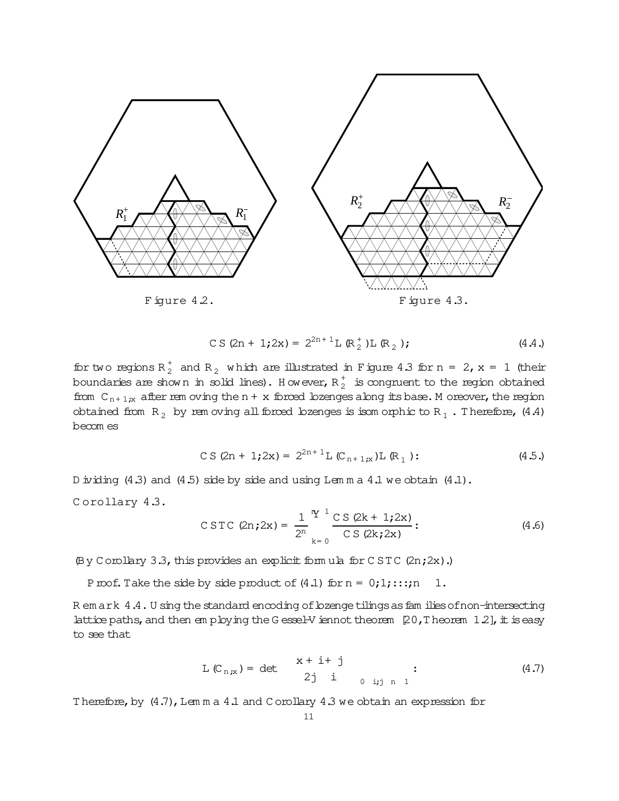

$$
CS (2n + 1; 2x) = 2^{2n + 1} L (R_2^+) L (R_2); \qquad (4.4.)
$$

for two regions  $R_2^+$  and  $R_2^-$  which are illustrated in Figure 4.3 for n = 2, x = 1 (their boundaries are shown in solid lines). However,  $R_2^+$  is congruent to the region obtained from  $C_{n+1;x}$  after rem oving the n + x forced lozenges along its base. M oreover, the region obtained from  $R_2$  by rem oving all forced lozenges is isom orphic to  $R_1$ . Therefore, (4.4) becom es

$$
CS (2n + 1; 2x) = 2^{2n + 1} L (C_{n+1;x}) L (R_1) : \qquad (4.5.)
$$

D ividing  $(4.3)$  and  $(4.5)$  side by side and using Lem m a  $4.1$  we obtain  $(4.1)$ .

C orollary 4.3.

$$
\text{CSTC (2n;2x)} = \frac{1}{2^n} \frac{Y^1}{2} \frac{C S (2k + 1;2x)}{C S (2k;2x)}: \tag{4.6}
$$

(By Corollary 3.3, this provides an explicit form ula for C ST C (2n;2x).)

Proof. Take the side by side product of  $(4.1)$  for  $n = 0;1;...;n \quad 1$ .

R em ark 4.4. U sing the standard encoding of lozenge tilings as fam ilies of non-intersecting lattice paths, and then em ploying the G essel-V iennot theorem  $[20, T$  heorem  $1.2$ ], it is easy to see that

$$
L(C_{n,x}) = det \t x + i + j \t 2j i \t 2j i \t 1
$$
 (4.7)

Therefore, by  $(4.7)$ , Lem m a 4.1 and C orollary 4.3 we obtain an expression for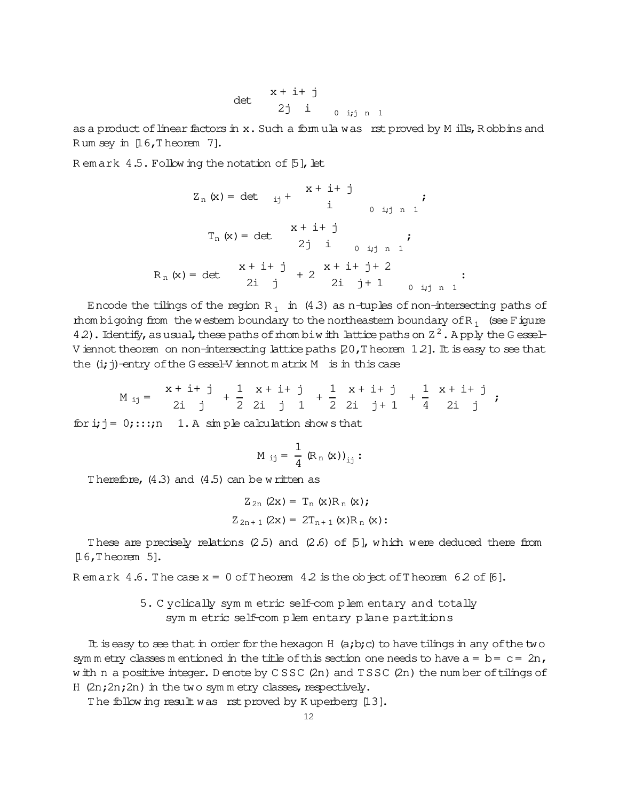$$
\det \begin{array}{ccc} x + i + j \\ 2j & i \\ 0 & i,j \end{array}
$$

as a product of linear factors in x. Such a formula was rst proved by M ills, Robbins and Rum sey in [16, Theorem 7].

Remark 4.5. Following the notation of [5], let

$$
Z_{n}(x) = det_{ij} + \frac{x + i + j}{i} ;
$$
  
\n
$$
T_{n}(x) = det_{ij} + \frac{x + i + j}{i} ;
$$
  
\n
$$
Z_{n}(x) = det_{ij} + \frac{x + i + j}{i} ;
$$
  
\n
$$
R_{n}(x) = det_{ij} + \frac{x + i + j}{i} + 2 ;
$$
  
\n
$$
Z_{n}(x) = det_{ij} + \frac{x + i + j}{i} + 2 ;
$$
  
\n
$$
Z_{n}(x) = det_{ij} + \frac{x + i + j}{i} + 2 ;
$$
  
\n
$$
Z_{n}(x) = det_{ij} + \frac{x + i + j}{i} + 2 ;
$$
  
\n
$$
Z_{n}(x) = det_{ij} + \frac{x + i + j}{i} + 2 ;
$$
  
\n
$$
Z_{n}(x) = det_{ij} + \frac{x + i + j}{i} + 2 ;
$$

Encode the tilings of the region  $R_1$  in (4.3) as n-tuples of non-intersecting paths of thom bigoing from the western boundary to the northeastern boundary of  $R_1$  (see Figure 4.2). Identify, as usual, these paths of mombiw ith lattice paths on  $Z^2$ . Apply the Gessel-V iennot theorem on non-intersecting lattice paths  $[20, T]$  heorem 12]. It is easy to see that the  $(i; j)$ -entry of the G essel-V iennot m at rix M is in this case

$$
M_{ij} = \begin{array}{ccccccccc} x + i + j & 1 & x + i + j & 1 & x + i + j & 1 & x + i + j \\ 2i & j & 2i & j & 1 & 2 & 2i & j + 1 & 4 & 2i & j \end{array}
$$

for i;  $j = 0$ ;:::; n 1. A simple calculation show s that

$$
M_{ij} = \frac{1}{4} (R_n (x))_{ij} :
$$

Therefore,  $(4.3)$  and  $(4.5)$  can be written as

$$
Z_{2n} (2x) = T_n (x) R_n (x);
$$
  

$$
Z_{2n+1} (2x) = 2T_{n+1} (x) R_n (x);
$$

These are precisely relations  $(2.5)$  and  $(2.6)$  of  $[5]$ , which were deduced there from  $[16,$  Theorem 5].

Remark 4.6. The case  $x = 0$  of Theorem 4.2 is the object of Theorem 6.2 of [6].

5. C yclically sym m etric self-com plem entary and totally sym m etric self-com plem entary plane partitions

It is easy to see that in order for the hexagon H  $(a,b,c)$  to have tilings in any of the two sym m etry classes m entioned in the title of this section one needs to have  $a = b = c = 2n$ , w ith n a positive integer. D enote by CSSC (2n) and TSSC (2n) the num ber of tilings of H (2n; 2n; 2n) in the two symmetry classes, respectively.

The following result was rst proved by Kuperberg [13].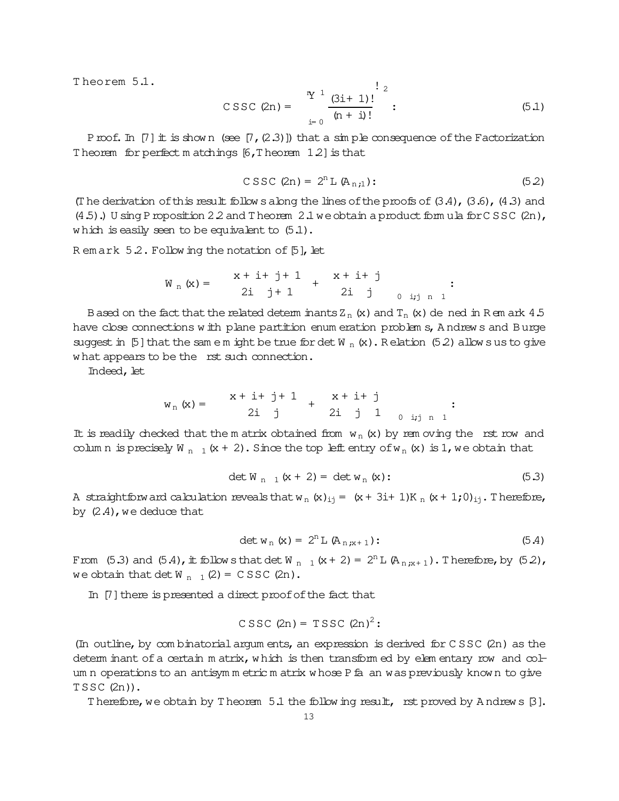Theorem 5.1.

$$
\text{CSSC (2n)} = \frac{\sum_{i=0}^{n} \frac{(3i+1)!}{(n+i)!}}{(\sum_{i=0}^{n} \frac{1}{i} \cdot 2!} \tag{5.1}
$$

Proof. In [7]  $\pm$  is shown (see [7, (2.3)]) that a simple consequence of the Factorization Theorem for perfect matchings  $[6, T \text{heorem } 1.2]$  is that

$$
\text{C} \text{SSC} \text{ (2n)} = 2^n \text{L} \text{ (A}_{n:1}) : \tag{5.2}
$$

(The derivation of this result follows along the lines of the proofs of  $(3.4)$ ,  $(3.6)$ ,  $(4.3)$  and  $(4.5)$ .) U sing P roposition 2.2 and T heorem 2.1 we obtain a product form ula for C S S C  $(2n)$ , which is easily seen to be equivalent to  $(5.1)$ .

Remark 5.2. Following the notation of [5], let

$$
W_n(x) = \begin{array}{c} x + i + j + 1 \\ 2i + 1 + 2i + j \\ 2i + 1 + 2i + j \\ 2i + j + n + 1 \end{array} ;
$$

B ased on the fact that the related determ inants  $Z_n$  (x) and  $T_n$  (x) de ned in Rem ark 4.5 have close connections with plane partition enum eration problem s, Andrews and Burge suggest in [5] that the same m ight be true for det  $W_n(x)$ . Relation (5.2) allows us to give what appears to be the rst such connection.

Indeed, let

$$
w_n(x) = \begin{array}{ccc} x + i + j + 1 & x + i + j \\ 2i & j & 2i & j & 1 \\ & & & \end{array}
$$

It is readily checked that the m atrix obtained from  $w_n(x)$  by rem oving the rst row and column is precisely W<sub>n 1</sub>(x + 2). Since the top left entry of w<sub>n</sub>(x) is 1, we obtain that

$$
\det W_{n-1}(x+2) = \det W_n(x); \tag{5.3}
$$

A straightforw ard calculation reveals that w<sub>n</sub> (x)<sub>ij</sub> = (x + 3i+ 1)K<sub>n</sub> (x + 1;0)<sub>ij</sub>. Therefore, by  $(2.4)$ , we deduce that

$$
\det w_n(x) = 2^n L (A_{n,x+1}) : \tag{5.4}
$$

From (5.3) and (5.4), it follows that det W<sub>n 1</sub> (x + 2) =  $2^n L (A_{n,x+1})$ . Therefore, by (5.2), we obtain that det  $W_{n-1}(2) = C SSC(2n)$ .

In [7] there is presented a direct proof of the fact that

$$
CSSC (2n) = TSSC (2n)2:
$$

(In outline, by combinatorial argum ents, an expression is derived for CSSC (2n) as the determ inant of a certain m atrix, which is then transformed by elementary row and colum n operations to an antisymm etric m atrix whose P fa an was previously known to give  $TSSC(2n)$ .

Therefore, we obtain by Theorem  $5.1$  the following result, rst proved by Andrews  $[3]$ .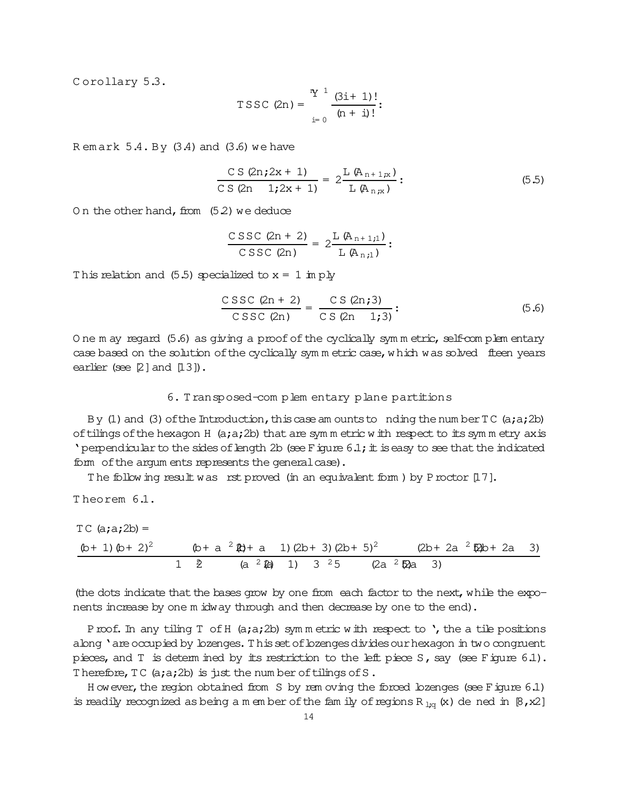Corollary 5.3.

TSSC (2n) = 
$$
\frac{{}^{n}Y^{1}}{(n+1)!}
$$
:

Remark  $5.4. By$  (3.4) and (3.6) we have

$$
\frac{CS (2n; 2x + 1)}{CS (2n \t 1; 2x + 1)} = 2 \frac{L (A_{n+1;x})}{L (A_{n;x})} : \t(5.5)
$$

On the other hand, from  $(5.2)$  we deduce

$$
\frac{C\, \text{SSC (2n + 2)}}{\text{CSSC (2n)}} = 2 \frac{\text{L} (A_{n+1,1})}{\text{L} (A_{n,1})}:
$$

This relation and  $(5.5)$  specialized to  $x = 1$  im ply

$$
\frac{\text{CSSC (2n + 2)}}{\text{CSSC (2n)}} = \frac{\text{CS (2n; 3)}}{\text{CS (2n - 1; 3)}}: \tag{5.6}
$$

One m ay regard (5.6) as giving a proof of the cyclically symmetric, self-complementary case based on the solution of the cyclically symm etric case, which was solved fleen years earlier (see  $[2]$  and  $[13]$ ).

# 6. Transposed-complementary plane partitions

By (1) and (3) of the Introduction, this case am ounts to nding the number  $TC$  (a;a;2b) of tilings of the hexagon H (a;a;2b) that are symmetric with respect to its symmetry axis ' perpendicular to the sides of length 2b (see F igure  $6.1$ ; it is easy to see that the indicated form of the argum ents represents the general case).

The following result was rst proved (in an equivalent form ) by P roctor  $[17]$ .

Theorem 6.1.

TC (a;a;2b) =  
\n
$$
\frac{(b+1)(b+2)^2}{1 \ 2}
$$
\n
$$
\frac{(b+a)^2(2b+a+1)(2b+3)(2b+5)^2}{2 \ (a^2 + 3)(2b+5)^2}
$$
\n
$$
\frac{(2b+2a)^2(2b+2a+3)}{3}
$$
\n
$$
\frac{(2b+2a)^2(2b+2a+3)}{3}
$$

(the dots indicate that the bases grow by one from each factor to the next, while the exponents increase by one m idway through and then decrease by one to the end).

Proof. In any tiling T of H (a;a;2b) symmetric with respect to ', the a tile positions abng 'are occupied by lozenges. This set of lozenges divides our hexagon in two congruent pieces, and T is detem ined by its restriction to the left piece S, say (see Figure  $6.1$ ). Therefore, TC (a;a;2b) is just the num ber of tilings of S.

However, the region obtained from S by rem oving the forced lozenges (see Figure 6.1) is readily recognized as being a m ember of the family of regions R<sub>1q</sub> (x) de ned in [8, x2]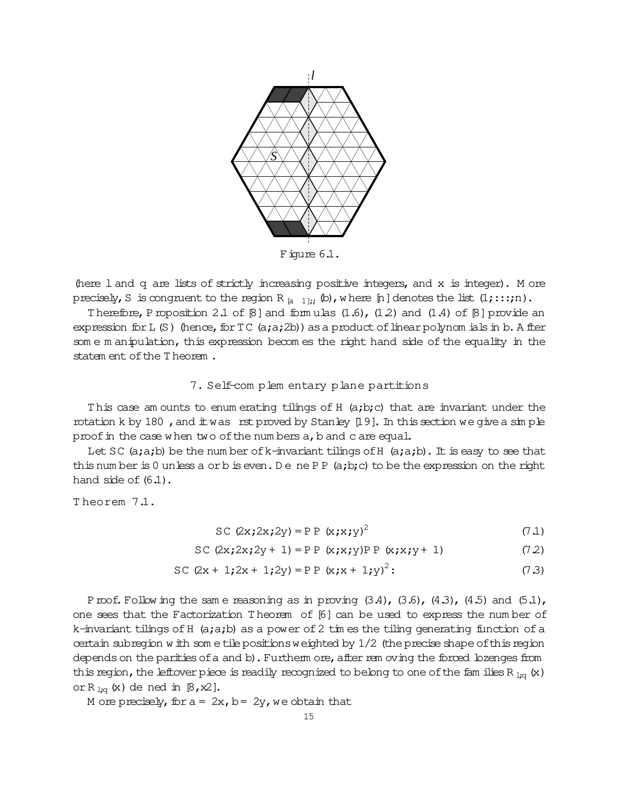

Figure  $6.1$ .

(here 1 and q are lists of strictly increasing positive integers, and x is integer). M ore precisely, S is congruent to the region R  $_{\text{a}}$  11: (b), where [n] denotes the list  $(1; \ldots; n)$ .

Therefore, P roposition 2.1 of  $\lbrack 8 \rbrack$  and formulas (1.6), (1.2) and (1.4) of  $\lbrack 8 \rbrack$  provide an expression for L  $(S)$  (hence, for  $TC$  (a;a;2b)) as a product of linear polynomials in b. A fler some m anipulation, this expression becomes the right hand side of the equality in the statem ent of the Theorem.

# 7. Self-com plem entary plane partitions

This case am ounts to enum erating tilings of H (a;b;c) that are invariant under the rotation k by 180, and  $\pm$  was rst proved by Stanley [19]. In this section we give a simple proof in the case when two of the numbers a, b and c are equal.

Let SC (a;a;b) be the number of k-invariant tilings of H (a;a;b). It is easy to see that this number is 0 unless a orb is even. Dene PP  $(a,b,c)$  to be the expression on the right hand side of  $(6.1)$ .

Theorem 7.1.

$$
SC (2x; 2x; 2y) = PP (x; x; y)^{2}
$$
 (7.1)

SC  $(2x; 2x; 2y + 1) = PP (x; x; y)PP (x; x; y + 1)$  $(72)$ 

SC 
$$
(2x + 1; 2x + 1; 2y) = PP (x; x + 1; y)^2
$$
: (7.3)

Proof. Following the same reasoning as in proving  $(3.4)$ ,  $(3.6)$ ,  $(4.3)$ ,  $(4.5)$  and  $(5.1)$ , one sees that the Factorization Theorem of [6] can be used to express the number of k-invariant tilings of H  $(a;a;b)$  as a power of 2 times the tiling generating function of a certain subregion with some tile positions weighted by  $1/2$  (the precise shape of this region depends on the parities of a and b). Furtherm ore, after rem oving the forced lozenges from this region, the leftover piece is readily recognized to belong to one of the families R  $_{1;q}$  (x) or R<sub>1:q</sub> (x) de ned in  $\beta$ , x2].

M ore precisely, for  $a = 2x$ ,  $b = 2y$ , we obtain that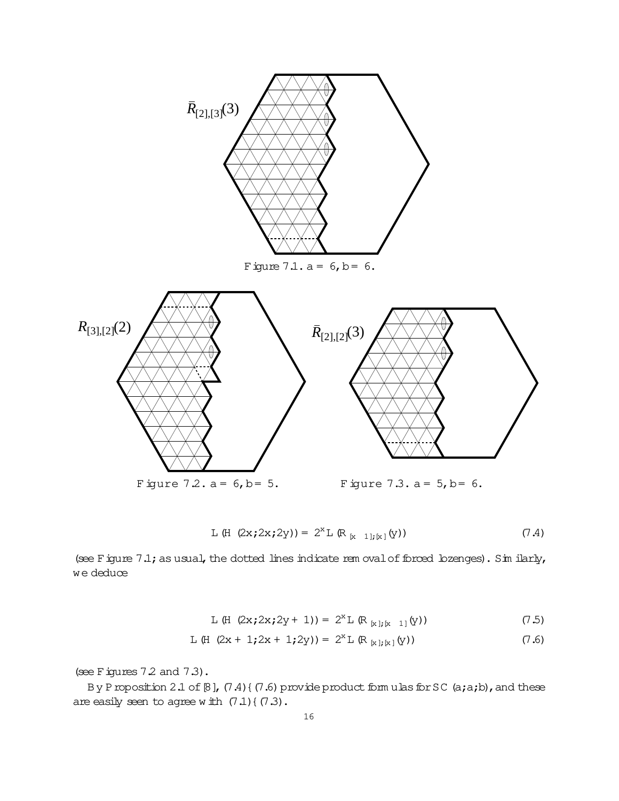

L (H 
$$
(2x; 2x; 2y) = 2^x L (R_{[x-1]; [x]}(y))
$$
 (7.4)

(see Figure  $7.1$ ; as usual, the dotted lines indicate rem oval of forced lozenges). Sim ilarly, we deduce

L (H 
$$
(2x; 2x; 2y + 1) = 2^{x}L (R_{[x]; [x - 1]}(y))
$$
 (7.5)

L (H 
$$
(2x + 1; 2x + 1; 2y) = 2^{x}L (R_{[x][x]}(y))
$$
 (7.6)

(see Figures  $7.2$  and  $7.3$ ).

By Proposition 2.1 of  $[8]$ ,  $(7.4)$  {  $(7.6)$  provide product form ulas for SC (a;a;b), and these are easily seen to agree with  $(7.1)$   $(7.3)$ .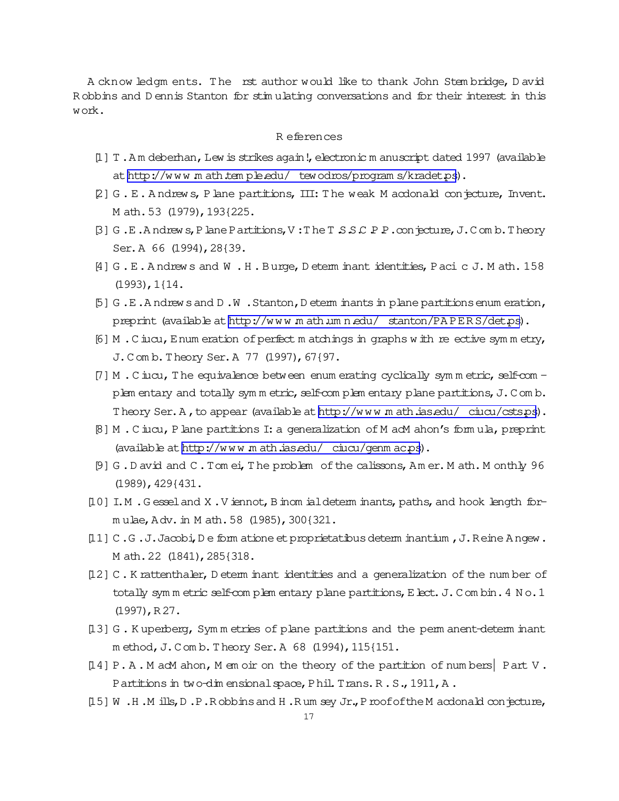A cknow ledgm ents. The rst author would like to thank John Stem bridge, D avid R obbins and D ennis Stanton for stim ulating conversations and for their interest in this work.

## R eferences

- [1] T. Am deberhan, Lew is strikes again!, electronic m anuscript dated 1997 (available at http://www.math.temple.edu/ tewodros/programs/kradet.ps).
- [2] G . E. A ndrew s, Plane partitions, III: T he weak M acdonald conjecture, Invent. M ath.53 (1979),193{225.
- $[3]$  G.E.Andrew s, Plane Partitions, V: The T  $S$  S C P P.conjecture, J.Com b. Theory Ser.A 66 (1994),28{39.
- [4] G.E.Andrews and W.H.Burge, Determ inant identities, Pacic J.Math.158 (1993),1{14.
- $[5]$  G.E.A ndrew sand D.W. Stanton, D eterm inants in plane partitions enum eration, preprint (available at http://www.math.umn.edu/ stanton/PAPERS/det.ps).
- [6] M. C iucu, E num eration of perfect m atchings in graphs with re ective symmetry, J. Com b. Theory Ser. A 77 (1997), 67{97.
- $[7]$  M . C iucu, T he equivalence between enum erating cyclically symm etric, self-com plem entary and totally symm etric, self-com plem entary plane partitions, J.Com b. Theory Ser. A, to appear (available at http://www.math.ias.edu/ ciucu/csts.ps).
- [8] M .C iucu,Plane partitions I:a generalization of M acM ahon's form ula,preprint (available at [http://w w w .m ath.ias.edu/](http://www.math.ias.edu/~ciucu/genmac.ps) ciucu/genm ac.ps).
- [9] G.D avid and C.Tom ei, The problem of the calissons, Am er. M ath. M onthly 96 (1989),429{431.
- [10] I.M .G esseland X .V iennot,Binom ialdeterm inants,paths,and hook length form ulae,Adv.in M ath.58 (1985),300{321.
- [11] C .G .J.Jacobi,D e form atione etproprietatibusdeterm inantium ,J.Reine Angew. M ath.22 (1841),285{318.
- [12] C . K rattenthaler, D eterm inant identities and a generalization of the num ber of totally sym m etric self-com plem entary plane partitions, E lect. J. Com bin.  $4 N o.1$ (1997),R 27.
- [13] G . K uperberg, Sym m etries of plane partitions and the perm anent-determ inant m ethod, J.Com b. Theory Ser. A 68 (1994), 115{151.
- [14] P. A . M acM ahon, M em oir on the theory of the partition of num bers| Part V . Partitions in two-dim ensional space, Phil. Trans. R . S., 1911, A.
- [15] W .H .M ills,D .P.R obbinsand H .R um sey Jr.,ProofoftheM acdonald conjecture,